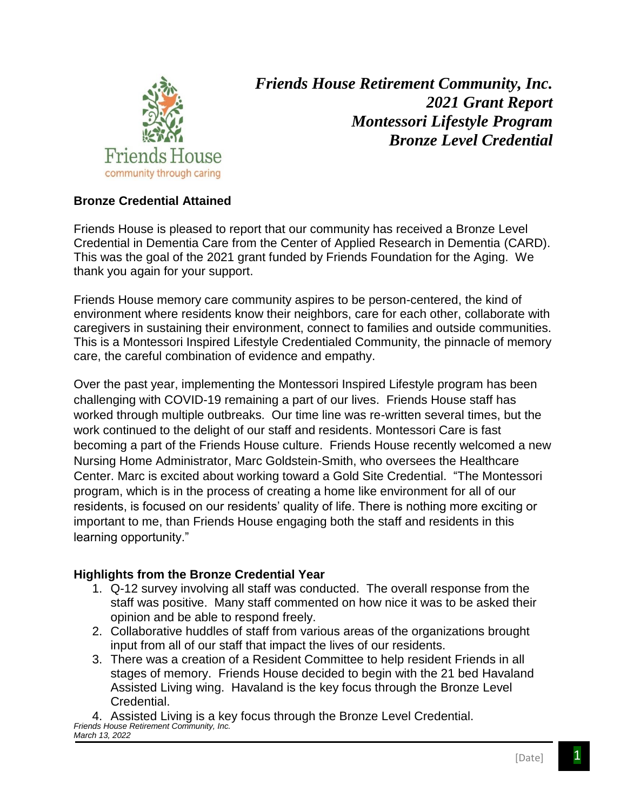

*Friends House Retirement Community, Inc. 2021 Grant Report Montessori Lifestyle Program Bronze Level Credential*

## **Bronze Credential Attained**

Friends House is pleased to report that our community has received a Bronze Level Credential in Dementia Care from the Center of Applied Research in Dementia (CARD). This was the goal of the 2021 grant funded by Friends Foundation for the Aging. We thank you again for your support.

Friends House memory care community aspires to be person-centered, the kind of environment where residents know their neighbors, care for each other, collaborate with caregivers in sustaining their environment, connect to families and outside communities. This is a Montessori Inspired Lifestyle Credentialed Community, the pinnacle of memory care, the careful combination of evidence and empathy.

Over the past year, implementing the Montessori Inspired Lifestyle program has been challenging with COVID-19 remaining a part of our lives. Friends House staff has worked through multiple outbreaks. Our time line was re-written several times, but the work continued to the delight of our staff and residents. Montessori Care is fast becoming a part of the Friends House culture. Friends House recently welcomed a new Nursing Home Administrator, Marc Goldstein-Smith, who oversees the Healthcare Center. Marc is excited about working toward a Gold Site Credential. "The Montessori program, which is in the process of creating a home like environment for all of our residents, is focused on our residents' quality of life. There is nothing more exciting or important to me, than Friends House engaging both the staff and residents in this learning opportunity."

## **Highlights from the Bronze Credential Year**

- 1. Q-12 survey involving all staff was conducted. The overall response from the staff was positive. Many staff commented on how nice it was to be asked their opinion and be able to respond freely.
- 2. Collaborative huddles of staff from various areas of the organizations brought input from all of our staff that impact the lives of our residents.
- 3. There was a creation of a Resident Committee to help resident Friends in all stages of memory. Friends House decided to begin with the 21 bed Havaland Assisted Living wing. Havaland is the key focus through the Bronze Level Credential.

*Friends House Retirement Community, Inc.* 4. Assisted Living is a key focus through the Bronze Level Credential. *March 13, 2022*